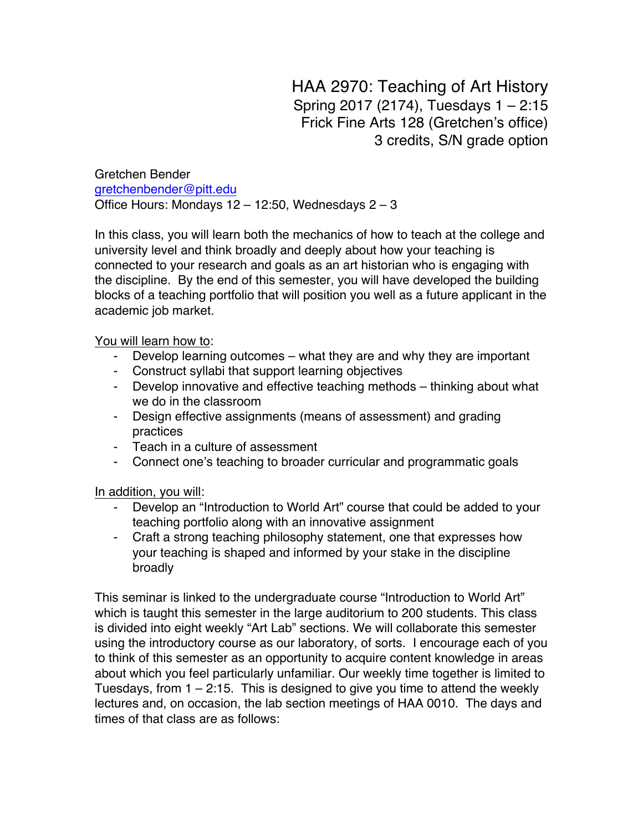HAA 2970: Teaching of Art History Spring 2017 (2174), Tuesdays 1 – 2:15 Frick Fine Arts 128 (Gretchen's office) 3 credits, S/N grade option

Gretchen Bender gretchenbender@pitt.edu Office Hours: Mondays  $12 - 12:50$ , Wednesdays  $2 - 3$ 

In this class, you will learn both the mechanics of how to teach at the college and university level and think broadly and deeply about how your teaching is connected to your research and goals as an art historian who is engaging with the discipline. By the end of this semester, you will have developed the building blocks of a teaching portfolio that will position you well as a future applicant in the academic job market.

You will learn how to:

- Develop learning outcomes what they are and why they are important
- Construct syllabi that support learning objectives
- Develop innovative and effective teaching methods thinking about what we do in the classroom
- Design effective assignments (means of assessment) and grading practices
- Teach in a culture of assessment
- Connect one's teaching to broader curricular and programmatic goals

In addition, you will:

- Develop an "Introduction to World Art" course that could be added to your teaching portfolio along with an innovative assignment
- Craft a strong teaching philosophy statement, one that expresses how your teaching is shaped and informed by your stake in the discipline broadly

This seminar is linked to the undergraduate course "Introduction to World Art" which is taught this semester in the large auditorium to 200 students. This class is divided into eight weekly "Art Lab" sections. We will collaborate this semester using the introductory course as our laboratory, of sorts. I encourage each of you to think of this semester as an opportunity to acquire content knowledge in areas about which you feel particularly unfamiliar. Our weekly time together is limited to Tuesdays, from  $1 - 2:15$ . This is designed to give you time to attend the weekly lectures and, on occasion, the lab section meetings of HAA 0010. The days and times of that class are as follows: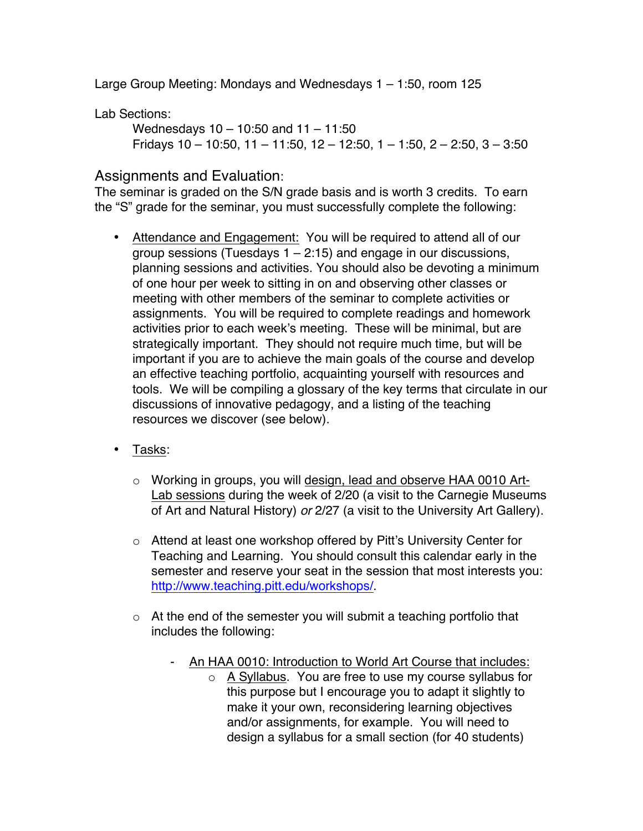Large Group Meeting: Mondays and Wednesdays 1 – 1:50, room 125

Lab Sections:

Wednesdays 10 – 10:50 and 11 – 11:50 Fridays 10 – 10:50, 11 – 11:50, 12 – 12:50, 1 – 1:50, 2 – 2:50, 3 – 3:50

# Assignments and Evaluation:

The seminar is graded on the S/N grade basis and is worth 3 credits. To earn the "S" grade for the seminar, you must successfully complete the following:

- Attendance and Engagement: You will be required to attend all of our group sessions (Tuesdays  $1 - 2.15$ ) and engage in our discussions, planning sessions and activities. You should also be devoting a minimum of one hour per week to sitting in on and observing other classes or meeting with other members of the seminar to complete activities or assignments. You will be required to complete readings and homework activities prior to each week's meeting. These will be minimal, but are strategically important. They should not require much time, but will be important if you are to achieve the main goals of the course and develop an effective teaching portfolio, acquainting yourself with resources and tools. We will be compiling a glossary of the key terms that circulate in our discussions of innovative pedagogy, and a listing of the teaching resources we discover (see below).
- Tasks:
	- o Working in groups, you will design, lead and observe HAA 0010 Art-Lab sessions during the week of 2/20 (a visit to the Carnegie Museums of Art and Natural History) *or* 2/27 (a visit to the University Art Gallery).
	- o Attend at least one workshop offered by Pitt's University Center for Teaching and Learning. You should consult this calendar early in the semester and reserve your seat in the session that most interests you: http://www.teaching.pitt.edu/workshops/.
	- $\circ$  At the end of the semester you will submit a teaching portfolio that includes the following:
		- An HAA 0010: Introduction to World Art Course that includes:
			- o A Syllabus. You are free to use my course syllabus for this purpose but I encourage you to adapt it slightly to make it your own, reconsidering learning objectives and/or assignments, for example. You will need to design a syllabus for a small section (for 40 students)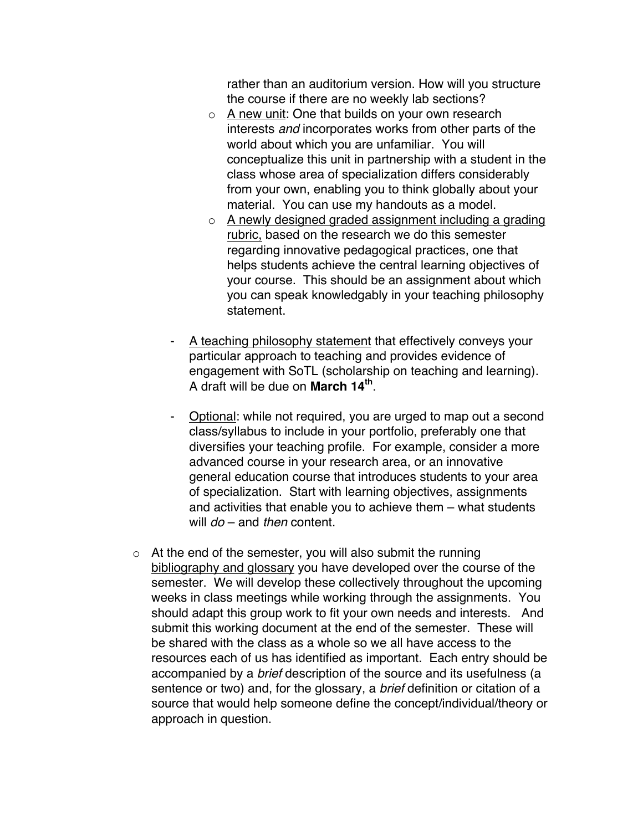rather than an auditorium version. How will you structure the course if there are no weekly lab sections?

- $\circ$  A new unit: One that builds on your own research interests *and* incorporates works from other parts of the world about which you are unfamiliar. You will conceptualize this unit in partnership with a student in the class whose area of specialization differs considerably from your own, enabling you to think globally about your material. You can use my handouts as a model.
- o A newly designed graded assignment including a grading rubric, based on the research we do this semester regarding innovative pedagogical practices, one that helps students achieve the central learning objectives of your course. This should be an assignment about which you can speak knowledgably in your teaching philosophy statement.
- A teaching philosophy statement that effectively conveys your particular approach to teaching and provides evidence of engagement with SoTL (scholarship on teaching and learning). A draft will be due on **March 14th**.
- Optional: while not required, you are urged to map out a second class/syllabus to include in your portfolio, preferably one that diversifies your teaching profile. For example, consider a more advanced course in your research area, or an innovative general education course that introduces students to your area of specialization. Start with learning objectives, assignments and activities that enable you to achieve them – what students will *do* – and *then* content.
- $\circ$  At the end of the semester, you will also submit the running bibliography and glossary you have developed over the course of the semester. We will develop these collectively throughout the upcoming weeks in class meetings while working through the assignments. You should adapt this group work to fit your own needs and interests. And submit this working document at the end of the semester. These will be shared with the class as a whole so we all have access to the resources each of us has identified as important. Each entry should be accompanied by a *brief* description of the source and its usefulness (a sentence or two) and, for the glossary, a *brief* definition or citation of a source that would help someone define the concept/individual/theory or approach in question.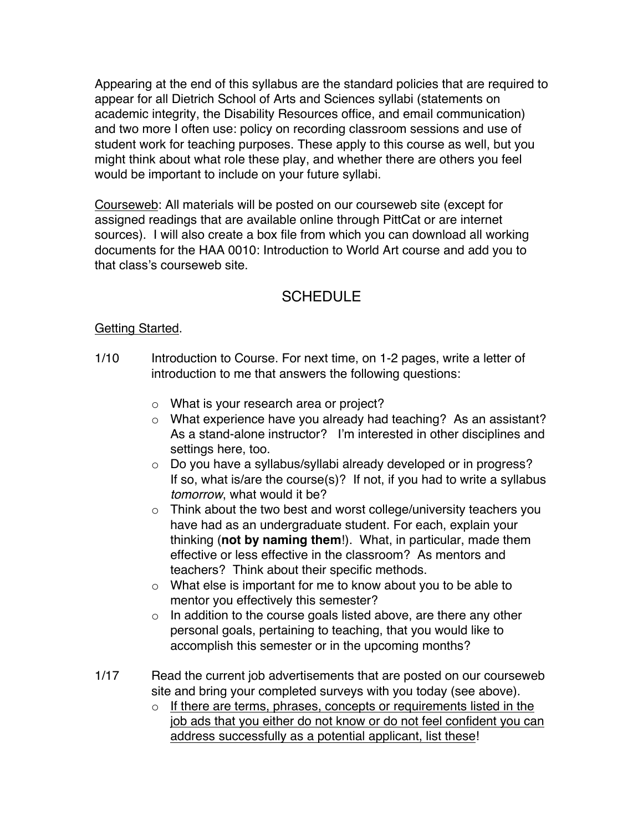Appearing at the end of this syllabus are the standard policies that are required to appear for all Dietrich School of Arts and Sciences syllabi (statements on academic integrity, the Disability Resources office, and email communication) and two more I often use: policy on recording classroom sessions and use of student work for teaching purposes. These apply to this course as well, but you might think about what role these play, and whether there are others you feel would be important to include on your future syllabi.

Courseweb: All materials will be posted on our courseweb site (except for assigned readings that are available online through PittCat or are internet sources). I will also create a box file from which you can download all working documents for the HAA 0010: Introduction to World Art course and add you to that class's courseweb site.

# SCHEDULE

# Getting Started.

- 1/10 Introduction to Course. For next time, on 1-2 pages, write a letter of introduction to me that answers the following questions:
	- o What is your research area or project?
	- o What experience have you already had teaching? As an assistant? As a stand-alone instructor? I'm interested in other disciplines and settings here, too.
	- o Do you have a syllabus/syllabi already developed or in progress? If so, what is/are the course(s)? If not, if you had to write a syllabus *tomorrow*, what would it be?
	- $\circ$  Think about the two best and worst college/university teachers you have had as an undergraduate student. For each, explain your thinking (**not by naming them**!). What, in particular, made them effective or less effective in the classroom? As mentors and teachers? Think about their specific methods.
	- o What else is important for me to know about you to be able to mentor you effectively this semester?
	- $\circ$  In addition to the course goals listed above, are there any other personal goals, pertaining to teaching, that you would like to accomplish this semester or in the upcoming months?
- 1/17 Read the current job advertisements that are posted on our courseweb site and bring your completed surveys with you today (see above).
	- o If there are terms, phrases, concepts or requirements listed in the job ads that you either do not know or do not feel confident you can address successfully as a potential applicant, list these!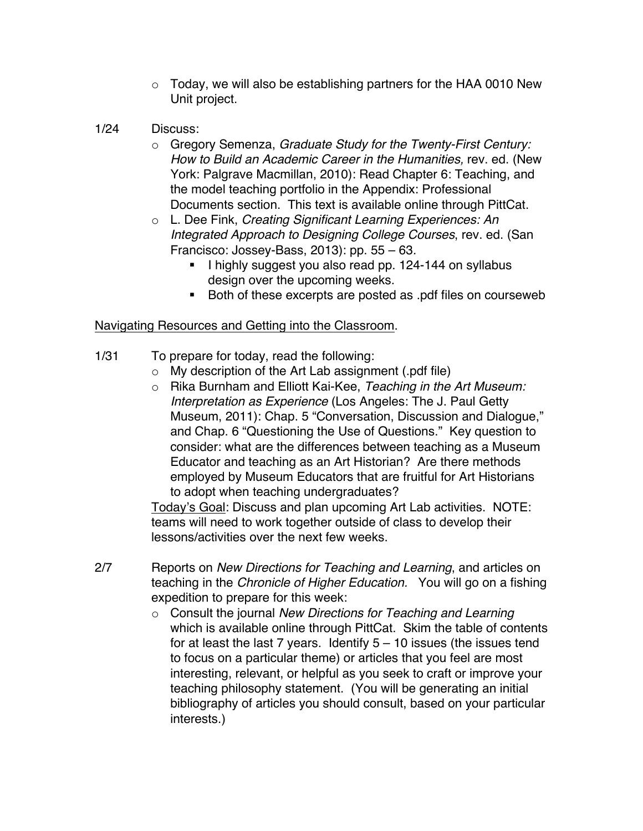- $\circ$  Today, we will also be establishing partners for the HAA 0010 New Unit project.
- 1/24 Discuss:
	- o Gregory Semenza, *Graduate Study for the Twenty-First Century: How to Build an Academic Career in the Humanities,* rev. ed. (New York: Palgrave Macmillan, 2010): Read Chapter 6: Teaching, and the model teaching portfolio in the Appendix: Professional Documents section. This text is available online through PittCat.
	- o L. Dee Fink, *Creating Significant Learning Experiences: An Integrated Approach to Designing College Courses*, rev. ed. (San Francisco: Jossey-Bass, 2013): pp. 55 – 63*.* 
		- I highly suggest you also read pp. 124-144 on syllabus design over the upcoming weeks.
		- Both of these excerpts are posted as .pdf files on courseweb

### Navigating Resources and Getting into the Classroom.

- 1/31 To prepare for today, read the following:
	- $\circ$  My description of the Art Lab assignment (.pdf file)
	- o Rika Burnham and Elliott Kai-Kee, *Teaching in the Art Museum: Interpretation as Experience* (Los Angeles: The J. Paul Getty Museum, 2011): Chap. 5 "Conversation, Discussion and Dialogue," and Chap. 6 "Questioning the Use of Questions." Key question to consider: what are the differences between teaching as a Museum Educator and teaching as an Art Historian? Are there methods employed by Museum Educators that are fruitful for Art Historians to adopt when teaching undergraduates?

Today's Goal: Discuss and plan upcoming Art Lab activities. NOTE: teams will need to work together outside of class to develop their lessons/activities over the next few weeks.

- 2/7 Reports on *New Directions for Teaching and Learning*, and articles on teaching in the *Chronicle of Higher Education.* You will go on a fishing expedition to prepare for this week:
	- o Consult the journal *New Directions for Teaching and Learning*  which is available online through PittCat. Skim the table of contents for at least the last 7 years. Identify  $5 - 10$  issues (the issues tend to focus on a particular theme) or articles that you feel are most interesting, relevant, or helpful as you seek to craft or improve your teaching philosophy statement. (You will be generating an initial bibliography of articles you should consult, based on your particular interests.)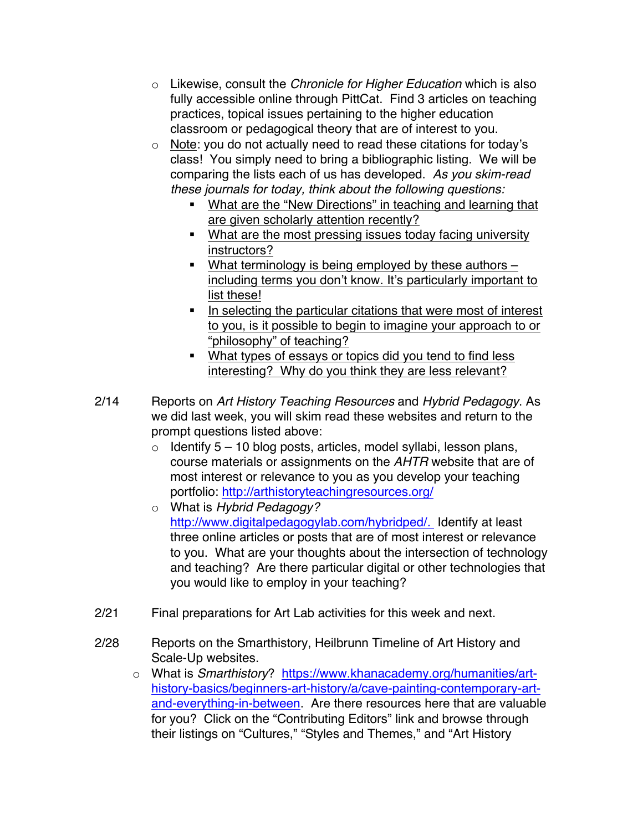- o Likewise, consult the *Chronicle for Higher Education* which is also fully accessible online through PittCat. Find 3 articles on teaching practices, topical issues pertaining to the higher education classroom or pedagogical theory that are of interest to you.
- o Note: you do not actually need to read these citations for today's class! You simply need to bring a bibliographic listing. We will be comparing the lists each of us has developed. *As you skim-read these journals for today, think about the following questions:*
	- What are the "New Directions" in teaching and learning that are given scholarly attention recently?
	- What are the most pressing issues today facing university instructors?
	- What terminology is being employed by these authors including terms you don't know. It's particularly important to list these!
	- In selecting the particular citations that were most of interest to you, is it possible to begin to imagine your approach to or "philosophy" of teaching?
	- What types of essays or topics did you tend to find less interesting? Why do you think they are less relevant?
- 2/14 Reports on *Art History Teaching Resources* and *Hybrid Pedagogy*. As we did last week, you will skim read these websites and return to the prompt questions listed above:
	- $\circ$  Identify 5 10 blog posts, articles, model syllabi, lesson plans, course materials or assignments on the *AHTR* website that are of most interest or relevance to you as you develop your teaching portfolio: http://arthistoryteachingresources.org/
	- o What is *Hybrid Pedagogy?*  http://www.digitalpedagogylab.com/hybridped/*.* Identify at least three online articles or posts that are of most interest or relevance to you. What are your thoughts about the intersection of technology and teaching? Are there particular digital or other technologies that you would like to employ in your teaching?
- 2/21 Final preparations for Art Lab activities for this week and next.
- 2/28 Reports on the Smarthistory, Heilbrunn Timeline of Art History and Scale-Up websites.
	- o What is *Smarthistory*? https://www.khanacademy.org/humanities/arthistory-basics/beginners-art-history/a/cave-painting-contemporary-artand-everything-in-between. Are there resources here that are valuable for you? Click on the "Contributing Editors" link and browse through their listings on "Cultures," "Styles and Themes," and "Art History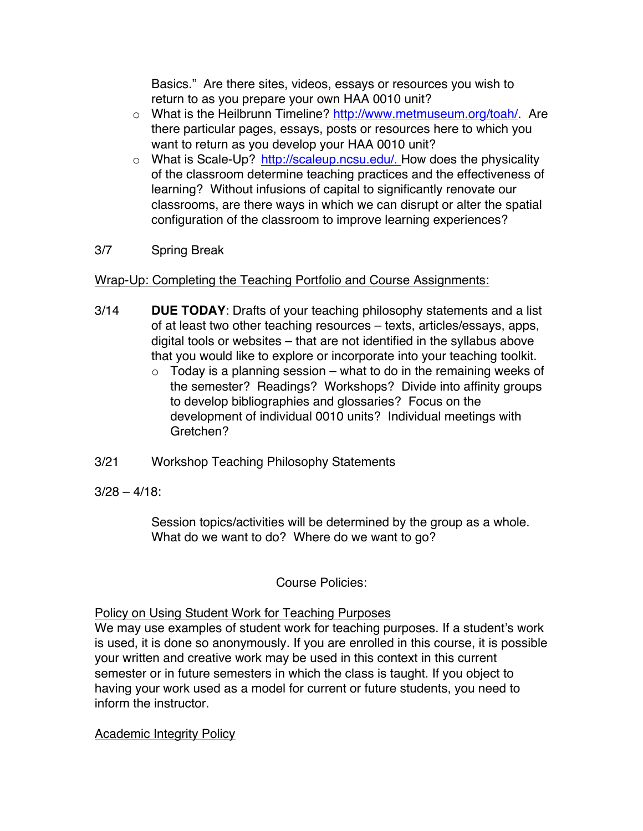Basics." Are there sites, videos, essays or resources you wish to return to as you prepare your own HAA 0010 unit?

- o What is the Heilbrunn Timeline? http://www.metmuseum.org/toah/. Are there particular pages, essays, posts or resources here to which you want to return as you develop your HAA 0010 unit?
- $\circ$  What is Scale-Up? http://scaleup.ncsu.edu/. How does the physicality of the classroom determine teaching practices and the effectiveness of learning? Without infusions of capital to significantly renovate our classrooms, are there ways in which we can disrupt or alter the spatial configuration of the classroom to improve learning experiences?

# 3/7 Spring Break

### Wrap-Up: Completing the Teaching Portfolio and Course Assignments:

- 3/14 **DUE TODAY**: Drafts of your teaching philosophy statements and a list of at least two other teaching resources – texts, articles/essays, apps, digital tools or websites – that are not identified in the syllabus above that you would like to explore or incorporate into your teaching toolkit.
	- $\circ$  Today is a planning session what to do in the remaining weeks of the semester? Readings? Workshops? Divide into affinity groups to develop bibliographies and glossaries? Focus on the development of individual 0010 units? Individual meetings with Gretchen?
- 3/21 Workshop Teaching Philosophy Statements
- $3/28 4/18$ :

Session topics/activities will be determined by the group as a whole. What do we want to do? Where do we want to go?

# Course Policies:

### Policy on Using Student Work for Teaching Purposes

We may use examples of student work for teaching purposes. If a student's work is used, it is done so anonymously. If you are enrolled in this course, it is possible your written and creative work may be used in this context in this current semester or in future semesters in which the class is taught. If you object to having your work used as a model for current or future students, you need to inform the instructor.

Academic Integrity Policy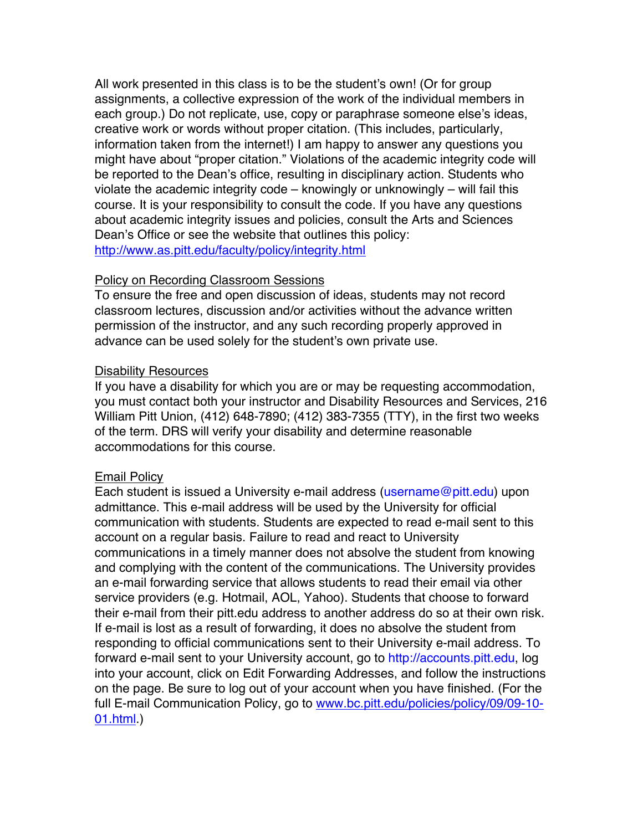All work presented in this class is to be the student's own! (Or for group assignments, a collective expression of the work of the individual members in each group.) Do not replicate, use, copy or paraphrase someone else's ideas, creative work or words without proper citation. (This includes, particularly, information taken from the internet!) I am happy to answer any questions you might have about "proper citation." Violations of the academic integrity code will be reported to the Dean's office, resulting in disciplinary action. Students who violate the academic integrity code – knowingly or unknowingly – will fail this course. It is your responsibility to consult the code. If you have any questions about academic integrity issues and policies, consult the Arts and Sciences Dean's Office or see the website that outlines this policy: http://www.as.pitt.edu/faculty/policy/integrity.html

#### Policy on Recording Classroom Sessions

To ensure the free and open discussion of ideas, students may not record classroom lectures, discussion and/or activities without the advance written permission of the instructor, and any such recording properly approved in advance can be used solely for the student's own private use.

#### Disability Resources

If you have a disability for which you are or may be requesting accommodation, you must contact both your instructor and Disability Resources and Services, 216 William Pitt Union, (412) 648-7890; (412) 383-7355 (TTY), in the first two weeks of the term. DRS will verify your disability and determine reasonable accommodations for this course.

#### Email Policy

Each student is issued a University e-mail address (username@pitt.edu) upon admittance. This e-mail address will be used by the University for official communication with students. Students are expected to read e-mail sent to this account on a regular basis. Failure to read and react to University communications in a timely manner does not absolve the student from knowing and complying with the content of the communications. The University provides an e-mail forwarding service that allows students to read their email via other service providers (e.g. Hotmail, AOL, Yahoo). Students that choose to forward their e-mail from their pitt.edu address to another address do so at their own risk. If e-mail is lost as a result of forwarding, it does no absolve the student from responding to official communications sent to their University e-mail address. To forward e-mail sent to your University account, go to http://accounts.pitt.edu, log into your account, click on Edit Forwarding Addresses, and follow the instructions on the page. Be sure to log out of your account when you have finished. (For the full E-mail Communication Policy, go to www.bc.pitt.edu/policies/policy/09/09-10- 01.html.)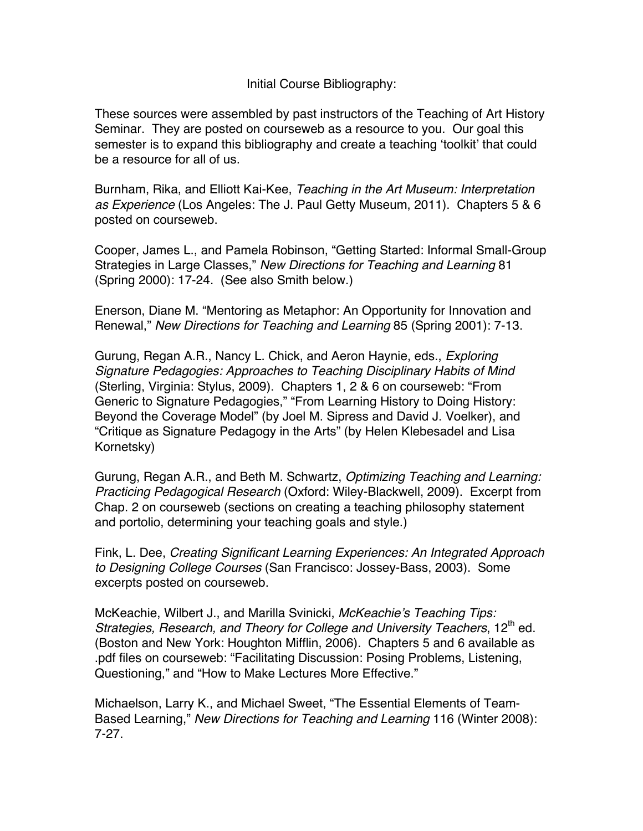Initial Course Bibliography:

These sources were assembled by past instructors of the Teaching of Art History Seminar. They are posted on courseweb as a resource to you. Our goal this semester is to expand this bibliography and create a teaching 'toolkit' that could be a resource for all of us.

Burnham, Rika, and Elliott Kai-Kee, *Teaching in the Art Museum: Interpretation as Experience* (Los Angeles: The J. Paul Getty Museum, 2011). Chapters 5 & 6 posted on courseweb.

Cooper, James L., and Pamela Robinson, "Getting Started: Informal Small-Group Strategies in Large Classes," *New Directions for Teaching and Learning* 81 (Spring 2000): 17-24. (See also Smith below.)

Enerson, Diane M. "Mentoring as Metaphor: An Opportunity for Innovation and Renewal," *New Directions for Teaching and Learning* 85 (Spring 2001): 7-13.

Gurung, Regan A.R., Nancy L. Chick, and Aeron Haynie, eds., *Exploring Signature Pedagogies: Approaches to Teaching Disciplinary Habits of Mind* (Sterling, Virginia: Stylus, 2009). Chapters 1, 2 & 6 on courseweb: "From Generic to Signature Pedagogies," "From Learning History to Doing History: Beyond the Coverage Model" (by Joel M. Sipress and David J. Voelker), and "Critique as Signature Pedagogy in the Arts" (by Helen Klebesadel and Lisa Kornetsky)

Gurung, Regan A.R., and Beth M. Schwartz, *Optimizing Teaching and Learning: Practicing Pedagogical Research* (Oxford: Wiley-Blackwell, 2009). Excerpt from Chap. 2 on courseweb (sections on creating a teaching philosophy statement and portolio, determining your teaching goals and style.)

Fink, L. Dee, *Creating Significant Learning Experiences: An Integrated Approach to Designing College Courses* (San Francisco: Jossey-Bass, 2003). Some excerpts posted on courseweb.

McKeachie, Wilbert J., and Marilla Svinicki, *McKeachie's Teaching Tips: Strategies, Research, and Theory for College and University Teachers, 12<sup>th</sup> ed.* (Boston and New York: Houghton Mifflin, 2006). Chapters 5 and 6 available as .pdf files on courseweb: "Facilitating Discussion: Posing Problems, Listening, Questioning," and "How to Make Lectures More Effective."

Michaelson, Larry K., and Michael Sweet, "The Essential Elements of Team-Based Learning," *New Directions for Teaching and Learning* 116 (Winter 2008): 7-27.